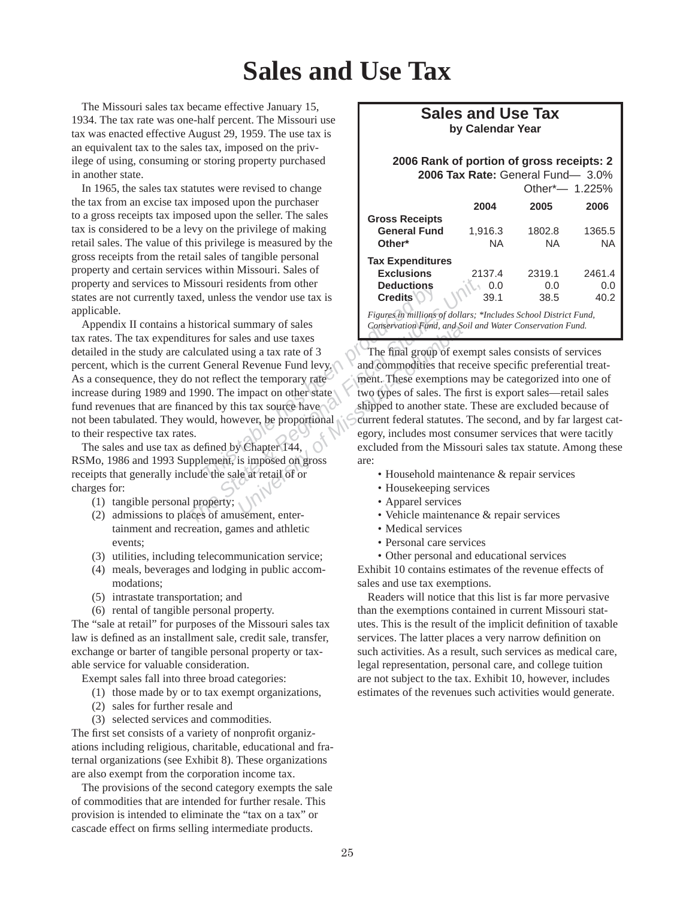## **Sales and Use Tax**

The Missouri sales tax became effective January 15, 1934. The tax rate was one-half percent. The Missouri use tax was enacted effective August 29, 1959. The use tax is an equivalent tax to the sales tax, imposed on the privilege of using, consuming or storing property purchased in another state.

In 1965, the sales tax statutes were revised to change the tax from an excise tax imposed upon the purchaser to a gross receipts tax imposed upon the seller. The sales tax is considered to be a levy on the privilege of making retail sales. The value of this privilege is measured by the gross receipts from the retail sales of tangible personal property and certain services within Missouri. Sales of property and services to Missouri residents from other states are not currently taxed, unless the vendor use tax is applicable.

Figures in millions<br>
torical summary of sales<br>
torical summary of sales<br>
torical summary of sales<br>
es for sales and use taxes<br>
lated using a tax rate of 3<br>
General Revenue Fund levy.<br>
On The final group<br>
On The impact on o *The State Biscalis State & Regional And Solutions*<br> *Thistorical summary of sales*<br> *Thistorical summary of sales*<br> *The Figures in millions of dollars;* \**1*<br> *The final group of exemptions*<br> *The final group of exemptio* Appendix II contains a historical summary of sales tax rates. The tax expenditures for sales and use taxes detailed in the study are calculated using a tax rate of 3 percent, which is the current General Revenue Fund levy. As a consequence, they do not reflect the temporary rate increase during 1989 and 1990. The impact on other state fund revenues that are financed by this tax source have not been tabulated. They would, however, be proportional to their respective tax rates.

The sales and use tax as defined by Chapter 144, RSMo, 1986 and 1993 Supplement, is imposed on gross receipts that generally include the sale at retail of or charges for:

- (1) tangible personal property;
- $(2)$  admissions to places of amusement, entertain ment and recreation, games and athletic events;
- (3) utilities, including telecommunication service;
- (4) meals, beverages and lodging in public accommodations;
- $(5)$  intrastate transportation; and
- $(6)$  rental of tangible personal property.

The "sale at retail" for purposes of the Missouri sales tax law is defined as an installment sale, credit sale, transfer, exchange or barter of tangible personal property or taxable service for valuable consideration.

Exempt sales fall into three broad categories:

- (1) those made by or to tax exempt organizations,
- (2) sales for further resale and
- (3) selected services and commodities.

The first set consists of a variety of nonprofit organizations including religious, charitable, educational and fraternal organizations (see Exhibit 8). These organizations are also exempt from the corporation income tax.

The provisions of the second category exempts the sale of commodities that are intended for further resale. This provision is intended to eliminate the "tax on a tax" or cascade effect on firms selling intermediate products.

## **Sales and Use Tax by Calendar Year**

## **2006 Rank of portion of gross receipts: 2 2006 Tax Rate:** General Fund— 3.0%

| Other*- 1.225% |                     |
|----------------|---------------------|
| 2005           | 2006                |
|                |                     |
| 1802.8         | 1365.5              |
| NA.            | ΝA                  |
|                |                     |
| 2319.1         | 2461.4              |
| 0.0            | 0.0                 |
| 38.5           | 40.2                |
|                | <b>UUITULI UITU</b> |

*Figures in millions of dollars; \*Includes School District Fund, Con ser va tion Fund, and Soil and Water Conservation Fund.*

University of sales<br>
iles and use taxes<br>
sing a tax rate of 3<br>
I Revenue Fund levy.<br>
<br>
I Revenue Fund levy.<br>
the temporary rate<br>
impact on other state<br>
impact on other state<br>
two types of sales. The<br>
shipped to another sta The final group of exempt sales consists of services and commodities that receive specific preferential treatment. These exemptions may be categorized into one of two types of sales. The first is export sales—retail sales shipped to another state. These are excluded because of current federal statutes. The second, and by far largest category, includes most consumer services that were tacitly excluded from the Missouri sales tax statute. Among these are:

- Household maintenance & repair services
- Housekeeping services
- Apparel services
- Vehicle maintenance & repair services
- Medical services
- Personal care services
- Other personal and educational services

Exhibit 10 contains estimates of the revenue effects of sales and use tax exemptions.

Readers will notice that this list is far more pervasive than the exemptions contained in current Missouri statutes. This is the result of the implicit definition of taxable services. The latter places a very narrow definition on such activities. As a result, such services as medical care, legal representation, personal care, and college tuition are not subject to the tax. Exhibit 10, however, includes estimates of the revenues such activities would generate.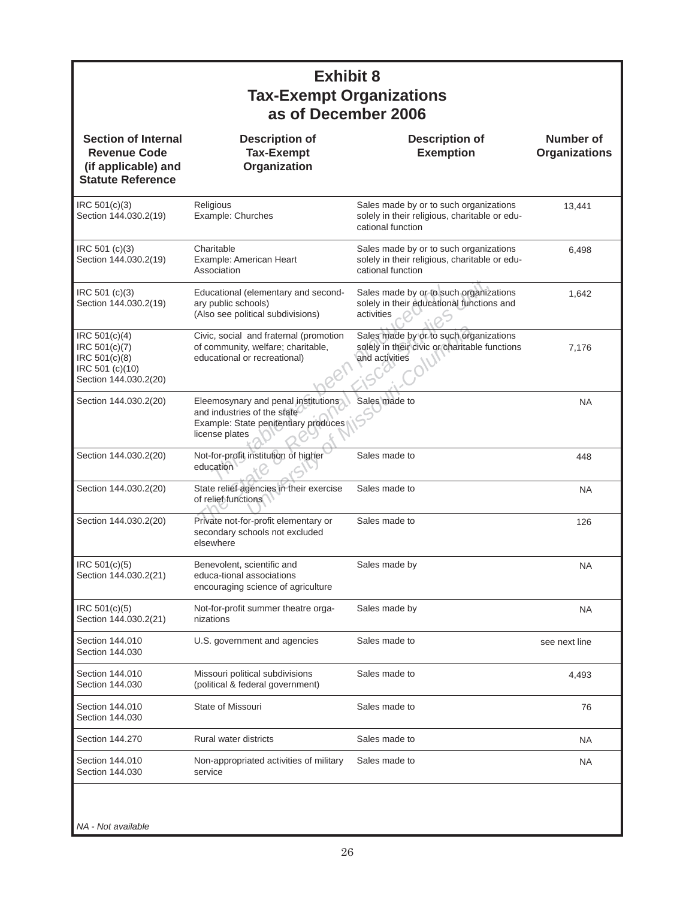## Experimentary and second-<br>
This table has by or to subtlic schools)<br>
Discreposition is determined to a solely in their education<br>
2, social and fraternal (promotion Sales made by or to summunity, welfare; charitable, solel Folucational (elementary and seconddate by or to such organizaty public schools)<br>
Also see political subdivisions) activities<br>
The State and fraternal (promotion Sales made by or to such organizative)<br>
The State and Extern and fraternal (promotion Sales made by or to such org<br> *University of Missouri-Columbia*<br>
In their civic or charital<br>
In their civic or charital<br>
and activities<br>
and activities<br>
Sales made to<br>
so of the state<br>
Sales made t Religious Example: Churches **Charitable** Example: American Heart Association Educational (elementary and secondary public schools) (Also see political subdivisions) Civic, social and fraternal (promotion of community, welfare; charitable, educational or recreational) Eleemosynary and penal institutions and industries of the state Example: State penitentiary produces license plates Not-for-profit institution of higher education State relief agencies in their exercise of relief functions Private not-for-profit elementary or secondary schools not excluded elsewhere Benevolent, scientific and educa-tional associations encouraging science of agriculture Not-for-profit summer theatre organizations U.S. government and agencies Missouri political subdivisions (political & federal government) State of Missouri Rural water districts Non-appropriated activities of military service Sales made by or to such organizations solely in their religious, charitable or educational function Sales made by or to such organizations solely in their religious, charitable or educational function Sales made by or to such organizations solely in their educational functions and activities Sales made by or to such organizations solely in their civic or charitable functions and activities Sales made to Sales made to Sales made to Sales made to Sales made by Sales made by Sales made to Sales made to Sales made to Sales made to Sales made to 13,441 6,498 1,642 7,176 NA 448 NA 126 NA NA see next line 4,493 76 NA NA IRC 501(c)(3) Section 144.030.2(19) IRC 501 (c)(3) Section 144.030.2(19) IRC 501 (c)(3) Section 144.030.2(19) IRC 501(c)(4) IRC 501(c)(7) IRC 501(c)(8) IRC 501 (c)(10) Section 144.030.2(20) Section 144.030.2(20) Section 144.030.2(20) Section 144.030.2(20) Section 144.030.2(20) IRC 501(c)(5) Section 144.030.2(21) IRC 501(c)(5) Section 144.030.2(21) Section 144.010 Section 144.030 Section 144.010 Section 144.030 Section 144.010 Section 144.030 Section 144.270 Section 144.010 Section 144.030 **Description of Tax-Exempt Organization Section of Internal Revenue Code (if ap pli ca ble) and Statute Reference Description of Exemption Number of Organizations Exhibit 8 Tax-Exempt Organizations as of December 2006**

*NA - Not available*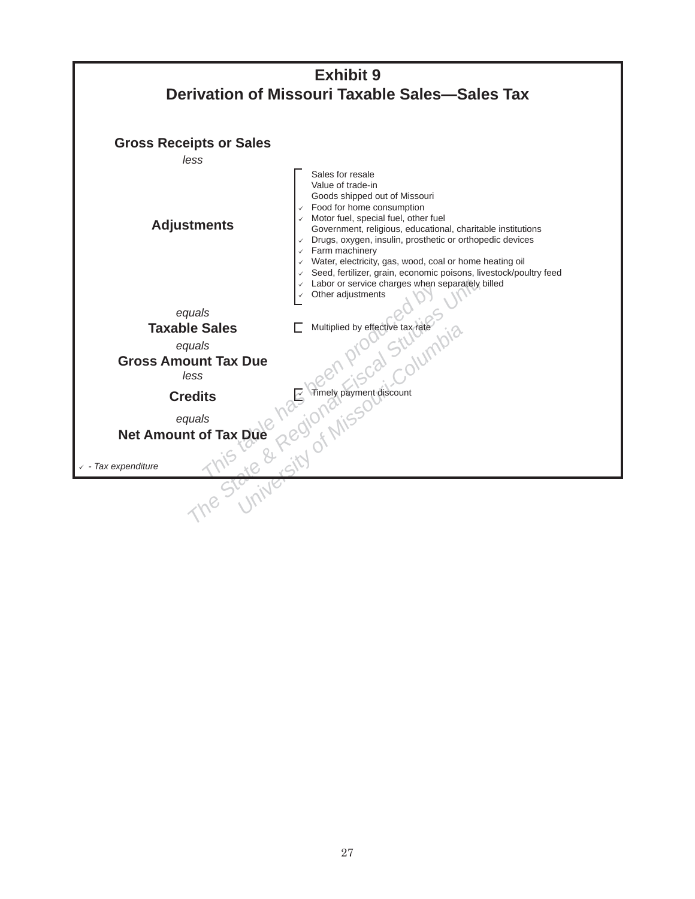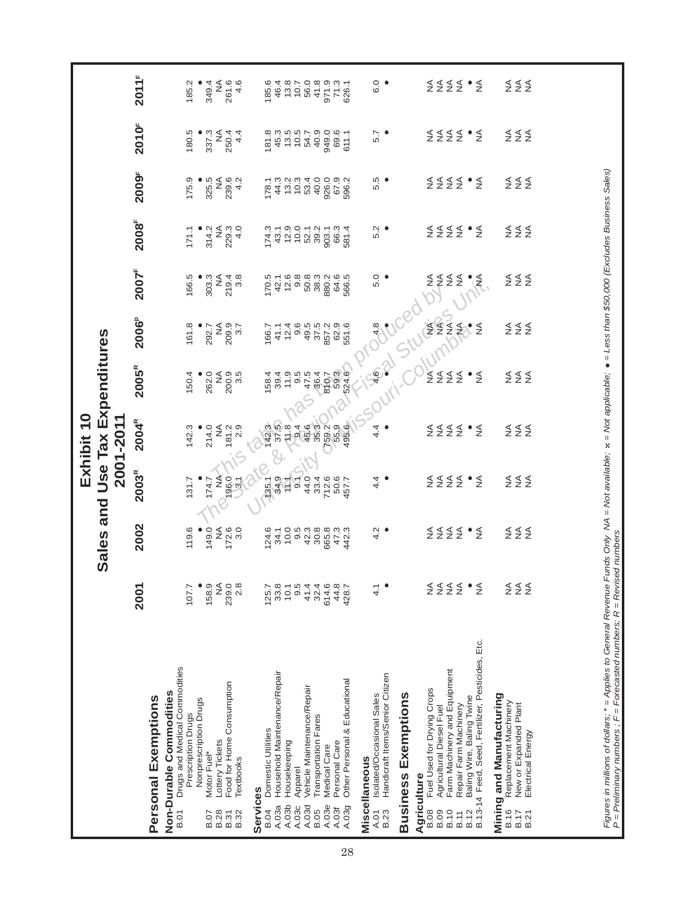|                                                                                                                                                                    |                     | Sales and    |                         | Exhibit 10<br>2001-2011                                              | Use Tax Expenditures                                  |                              |                                                    |                   |                  |                             |                      |
|--------------------------------------------------------------------------------------------------------------------------------------------------------------------|---------------------|--------------|-------------------------|----------------------------------------------------------------------|-------------------------------------------------------|------------------------------|----------------------------------------------------|-------------------|------------------|-----------------------------|----------------------|
| Personal Exemptions                                                                                                                                                | 2001                | 2002         | 2003 <sup>R</sup>       | 2004 <sup>R</sup>                                                    | $2005^R$                                              | <b>2006</b> <sup>P</sup>     | 2007 <sup>F</sup>                                  | 2008 <sup>F</sup> | 2009F            | 2010F                       | 2011 <sup>F</sup>    |
| Drugs and Medical Commodities<br>Non-Durable Commodities<br><b>B.01</b>                                                                                            |                     |              |                         |                                                                      |                                                       |                              |                                                    |                   |                  |                             |                      |
| Prescription Drugs                                                                                                                                                 | 107.7               | 119.6        | 131.7                   | 142.3                                                                | 150.4                                                 | 161.8                        | 166.5                                              | 171.1             | 175.9            | 180.5                       | 185.2                |
| Nonprescription Drugs<br>Motor Fuel*<br><b>B.07</b>                                                                                                                | 158.9               | 149.0        | 174.7                   | 214.0                                                                | 262.0                                                 | 292.7                        | 303.3                                              | 314.2             | 325.5            | 337.3                       | 349.4                |
| Food for Home Consumption<br>Lottery Tickets<br><b>B.28</b><br>B.31                                                                                                | ≸<br>239.0          | ⋚            | 196.0<br>₹              | ≸<br>181.2                                                           | $\lessgtr$                                            | $\stackrel{\triangle}{\geq}$ | NA<br>219.4<br>3.8                                 | ⋚<br>229.3        | ≸                | ≸<br>250.4                  | ₹<br>261.6           |
| Textbooks<br>B.32                                                                                                                                                  | 2.8                 | 172.6<br>3.0 | 3.1                     | 2.9                                                                  | 200.9<br>3.5                                          | 209.9<br>3.7                 |                                                    | 4.0               | 239.6<br>4.2     | 4.4                         | 4.6                  |
| Services                                                                                                                                                           |                     |              |                         |                                                                      |                                                       |                              |                                                    |                   |                  |                             |                      |
| Domestic Utilities<br><b>B.04</b>                                                                                                                                  | 125.7               | 124.6        | 135.1                   | 142.3                                                                | 158.4                                                 | 166.7                        | 170.5                                              | 174.3             | 178.1            | 181.8                       | 185.6                |
| Household Maintenance/Repair<br>Housekeeping<br>A.03a<br>A.03b                                                                                                     | 33.8<br>10.1        | 34.1         | 34.9<br>$\overline{12}$ | $37 - 9$<br>$49 - 8$<br>$69 - 4$<br>$69 - 3$<br>$69 - 3$<br>$69 - 3$ | 39.4<br>11.9                                          | 41.1                         | 12.6<br>42.1                                       | 43.1              | 44.3             | $47007$<br>$47007$<br>$470$ | 46.4                 |
| Apparel<br>A.03c                                                                                                                                                   | 9.5                 |              | 9.1                     |                                                                      |                                                       |                              | 9.8                                                | $12.9$<br>$10.0$  | $13.2$<br>$10.3$ |                             | $13.8$<br>10.7       |
| Vehicle Maintenance/Repair<br>A.03d                                                                                                                                | 41.4                |              | 44.0                    |                                                                      |                                                       |                              | 50.8                                               | 52.1              | 53.4             |                             | 56.0                 |
| Transportation Fares<br>A.03e<br><b>B.05</b>                                                                                                                       | 32.4<br>614.6       |              | 33.4<br>712.6           |                                                                      |                                                       |                              | 38.3<br>880.2                                      | 39.2<br>903.1     | 40.0<br>926.0    | 40.9<br>949.0               | $\frac{41.8}{971.9}$ |
| Personal Care<br>Medical Care<br>A.03f                                                                                                                             | 44.8                |              | 50.6                    |                                                                      | 9.5<br>47.600<br>6000 0<br>6000 0<br>6000 0<br>6000 0 |                              |                                                    | 66.3              |                  | 69.6                        |                      |
| Other Personal & Educational<br>A.03g<br>28                                                                                                                        | 428.7               |              | 457.7                   | 55.9<br>495.6                                                        |                                                       | 62.9<br>551.6                | 64.6<br>566.5                                      | 581.4             | 67.9<br>596.2    | 611.1                       | 71.3<br>626.1        |
| Miscellaneous                                                                                                                                                      |                     |              |                         |                                                                      |                                                       |                              |                                                    |                   |                  |                             |                      |
| Handicraft Items/Senior Citizen<br>Isolated/Occasional Sales<br><b>B.23</b><br>A.01                                                                                | $\frac{1}{4}$       | $rac{1}{4}$  | 4.4                     | पं. ●<br>पं                                                          |                                                       | 4.8                          | 5.0                                                | 5.2               | 5.5              | 5.7                         | 6.0                  |
| <b>Business Exemptions</b>                                                                                                                                         |                     |              |                         |                                                                      | Still                                                 |                              |                                                    |                   |                  |                             |                      |
| Agriculture                                                                                                                                                        |                     |              |                         |                                                                      |                                                       |                              |                                                    |                   |                  |                             |                      |
| Fuel Used for Drying Crops<br><b>B.08</b>                                                                                                                          |                     |              |                         |                                                                      |                                                       | 2222                         | ≨≨                                                 |                   |                  |                             |                      |
| Farm Machinery and Equipment<br>Agricultural Diesel Fuel<br>B.10<br><b>B.09</b>                                                                                    | 5452                | 5522.5       | 5522.5                  | 5522                                                                 | 5522                                                  |                              | $\stackrel{\leq}{_{\sim}}\stackrel{\leq}{_{\sim}}$ | 5452              | 5452             | 5452                        | $2222$ $27$          |
| Repair Farm Machinery<br>B.12<br>B.11                                                                                                                              |                     |              |                         |                                                                      |                                                       |                              |                                                    |                   |                  |                             |                      |
| B.13-14 Feed, Seed, Fertilizer, Pesticides, Etc.<br>Baling Wire, Baling Twine                                                                                      |                     |              |                         | $\frac{1}{2}$                                                        | $\frac{4}{2}$                                         | $\frac{1}{2}$                | ٠<br>≸                                             |                   |                  |                             |                      |
| Mining and Manufacturing<br>Replacement Machinery<br><b>B.16</b>                                                                                                   |                     |              |                         |                                                                      |                                                       |                              |                                                    |                   |                  |                             |                      |
| New or Expanded Plant<br>B.17                                                                                                                                      | $\S$ $\S$ $\S$ $\S$ | ≨≨≨          | ≨≨≨                     | ≨≨≨                                                                  | ≨≨≨                                                   | ≨≨≨                          | $\S$ $\S$ $\S$ $\S$                                | ≨≨≨               | ≨≨≨              | ≨≨≨                         | 552                  |
| Electrical Energy<br><b>B.21</b>                                                                                                                                   |                     |              |                         |                                                                      |                                                       |                              |                                                    |                   |                  |                             |                      |
|                                                                                                                                                                    |                     |              |                         |                                                                      |                                                       |                              |                                                    |                   |                  |                             |                      |
| Figures in millions of dollars: * = Applies to General Revenue Funds Only M4 = Not appliable: * = Not applicable: • = Less than \$50.000 (Excludes Business Sales) |                     |              |                         |                                                                      |                                                       |                              |                                                    |                   |                  |                             |                      |

*Figures in millions of dollars;* \* *= Applies to General Revenue Funds Only NA = Not available;*  = *Not applicable; = Less than \$50,000 (Excludes Business Sales)*  $P =$  Preliminary numbers ;  $F =$  Forecasted numbers;  $R =$  Revised numbers *P = Preliminary numbers ; F = Forecasted numbers; R = Revised numbers*